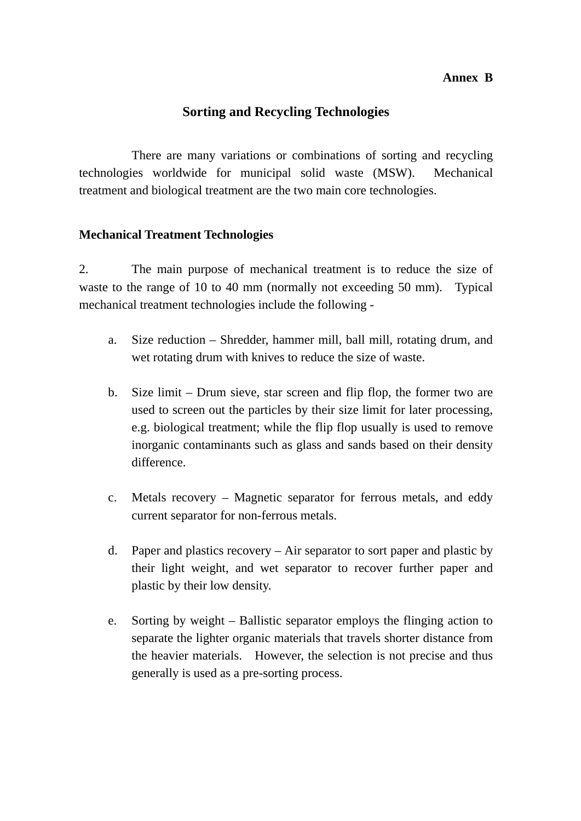## **Annex B**

# **Sorting and Recycling Technologies**

There are many variations or combinations of sorting and recycling technologies worldwide for municipal solid waste (MSW). Mechanical treatment and biological treatment are the two main core technologies.

## **Mechanical Treatment Technologies**

2. The main purpose of mechanical treatment is to reduce the size of waste to the range of 10 to 40 mm (normally not exceeding 50 mm). Typical mechanical treatment technologies include the following -

- a. Size reduction Shredder, hammer mill, ball mill, rotating drum, and wet rotating drum with knives to reduce the size of waste.
- b. Size limit Drum sieve, star screen and flip flop, the former two are used to screen out the particles by their size limit for later processing, e.g. biological treatment; while the flip flop usually is used to remove inorganic contaminants such as glass and sands based on their density difference.
- c. Metals recovery Magnetic separator for ferrous metals, and eddy current separator for non-ferrous metals.
- d. Paper and plastics recovery Air separator to sort paper and plastic by their light weight, and wet separator to recover further paper and plastic by their low density.
- e. Sorting by weight Ballistic separator employs the flinging action to separate the lighter organic materials that travels shorter distance from the heavier materials. However, the selection is not precise and thus generally is used as a pre-sorting process.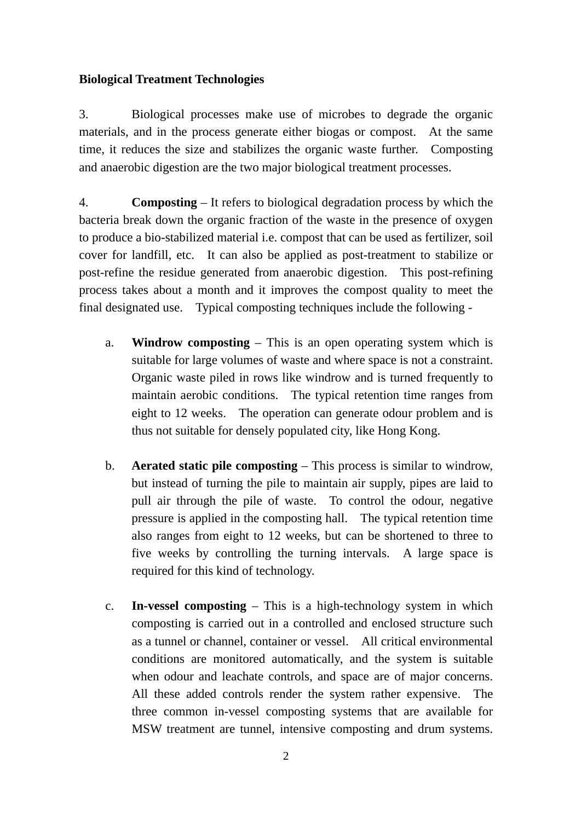## **Biological Treatment Technologies**

3. Biological processes make use of microbes to degrade the organic materials, and in the process generate either biogas or compost. At the same time, it reduces the size and stabilizes the organic waste further. Composting and anaerobic digestion are the two major biological treatment processes.

4. **Composting** – It refers to biological degradation process by which the bacteria break down the organic fraction of the waste in the presence of oxygen to produce a bio-stabilized material i.e. compost that can be used as fertilizer, soil cover for landfill, etc. It can also be applied as post-treatment to stabilize or post-refine the residue generated from anaerobic digestion. This post-refining process takes about a month and it improves the compost quality to meet the final designated use. Typical composting techniques include the following -

- a. **Windrow composting** This is an open operating system which is suitable for large volumes of waste and where space is not a constraint. Organic waste piled in rows like windrow and is turned frequently to maintain aerobic conditions. The typical retention time ranges from eight to 12 weeks. The operation can generate odour problem and is thus not suitable for densely populated city, like Hong Kong.
- b. **Aerated static pile composting**  This process is similar to windrow, but instead of turning the pile to maintain air supply, pipes are laid to pull air through the pile of waste. To control the odour, negative pressure is applied in the composting hall. The typical retention time also ranges from eight to 12 weeks, but can be shortened to three to five weeks by controlling the turning intervals. A large space is required for this kind of technology.
- c. **In-vessel composting** This is a high-technology system in which composting is carried out in a controlled and enclosed structure such as a tunnel or channel, container or vessel. All critical environmental conditions are monitored automatically, and the system is suitable when odour and leachate controls, and space are of major concerns. All these added controls render the system rather expensive. The three common in-vessel composting systems that are available for MSW treatment are tunnel, intensive composting and drum systems.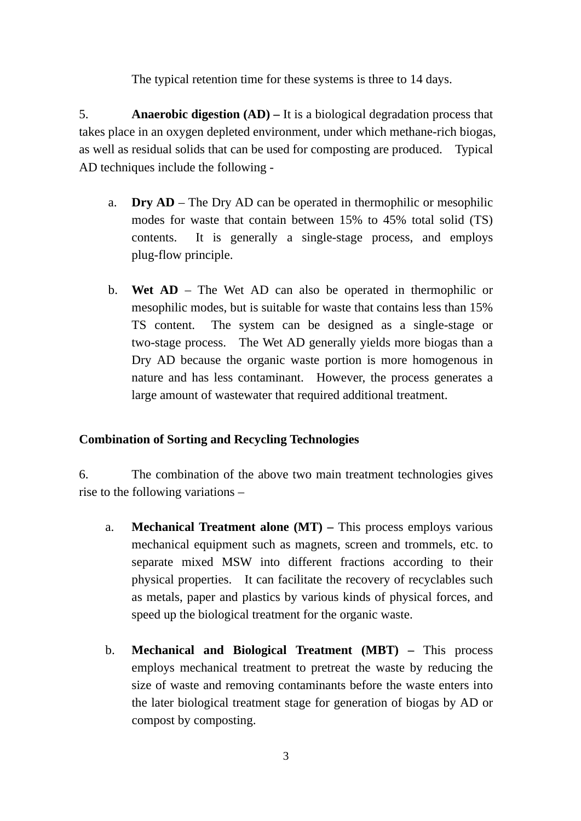The typical retention time for these systems is three to 14 days.

5. **Anaerobic digestion (AD) –** It is a biological degradation process that takes place in an oxygen depleted environment, under which methane-rich biogas, as well as residual solids that can be used for composting are produced. Typical AD techniques include the following -

- a. **Dry AD** The Dry AD can be operated in thermophilic or mesophilic modes for waste that contain between 15% to 45% total solid (TS) contents. It is generally a single-stage process, and employs plug-flow principle.
- b. **Wet AD**  The Wet AD can also be operated in thermophilic or mesophilic modes, but is suitable for waste that contains less than 15% TS content. The system can be designed as a single-stage or two-stage process. The Wet AD generally yields more biogas than a Dry AD because the organic waste portion is more homogenous in nature and has less contaminant. However, the process generates a large amount of wastewater that required additional treatment.

# **Combination of Sorting and Recycling Technologies**

6. The combination of the above two main treatment technologies gives rise to the following variations –

- a. **Mechanical Treatment alone (MT)** This process employs various mechanical equipment such as magnets, screen and trommels, etc. to separate mixed MSW into different fractions according to their physical properties. It can facilitate the recovery of recyclables such as metals, paper and plastics by various kinds of physical forces, and speed up the biological treatment for the organic waste.
- b. **Mechanical and Biological Treatment (MBT)** This process employs mechanical treatment to pretreat the waste by reducing the size of waste and removing contaminants before the waste enters into the later biological treatment stage for generation of biogas by AD or compost by composting.